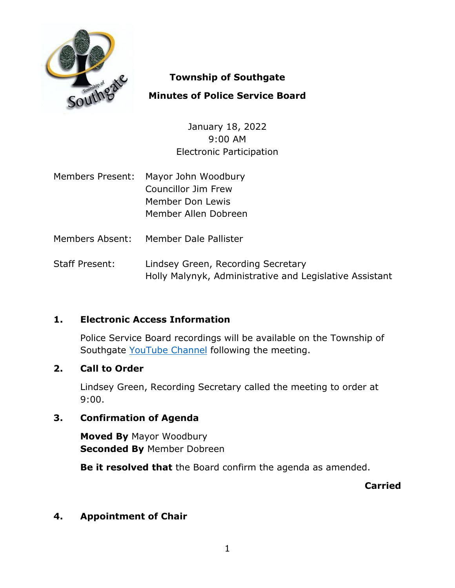

## **Township of Southgate**

# **Minutes of Police Service Board**

January 18, 2022 9:00 AM Electronic Participation

- Members Present: Mayor John Woodbury Councillor Jim Frew Member Don Lewis Member Allen Dobreen
- Members Absent: Member Dale Pallister
- Staff Present: Lindsey Green, Recording Secretary Holly Malynyk, Administrative and Legislative Assistant

# **1. Electronic Access Information**

Police Service Board recordings will be available on the Township of Southgate [YouTube Channel](https://www.youtube.com/user/SouthgateTownship) following the meeting.

## **2. Call to Order**

Lindsey Green, Recording Secretary called the meeting to order at 9:00.

## **3. Confirmation of Agenda**

**Moved By** Mayor Woodbury **Seconded By** Member Dobreen

**Be it resolved that** the Board confirm the agenda as amended.

**Carried**

## **4. Appointment of Chair**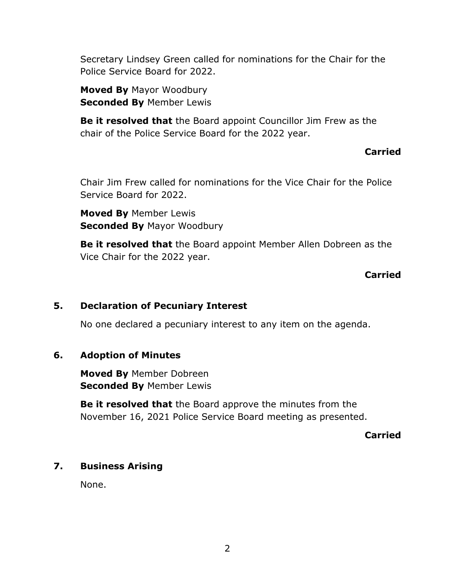Secretary Lindsey Green called for nominations for the Chair for the Police Service Board for 2022.

**Moved By** Mayor Woodbury **Seconded By** Member Lewis

**Be it resolved that** the Board appoint Councillor Jim Frew as the chair of the Police Service Board for the 2022 year.

## **Carried**

Chair Jim Frew called for nominations for the Vice Chair for the Police Service Board for 2022.

**Moved By** Member Lewis **Seconded By** Mayor Woodbury

**Be it resolved that** the Board appoint Member Allen Dobreen as the Vice Chair for the 2022 year.

## **Carried**

#### **5. Declaration of Pecuniary Interest**

No one declared a pecuniary interest to any item on the agenda.

#### **6. Adoption of Minutes**

**Moved By** Member Dobreen **Seconded By** Member Lewis

**Be it resolved that** the Board approve the minutes from the November 16, 2021 Police Service Board meeting as presented.

**Carried**

#### **7. Business Arising**

None.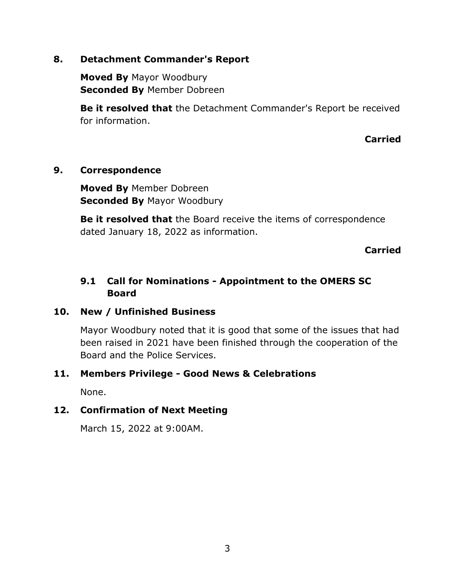## **8. Detachment Commander's Report**

**Moved By** Mayor Woodbury **Seconded By** Member Dobreen

**Be it resolved that** the Detachment Commander's Report be received for information.

**Carried**

## **9. Correspondence**

**Moved By** Member Dobreen **Seconded By** Mayor Woodbury

**Be it resolved that** the Board receive the items of correspondence dated January 18, 2022 as information.

**Carried**

# **9.1 Call for Nominations - Appointment to the OMERS SC Board**

## **10. New / Unfinished Business**

Mayor Woodbury noted that it is good that some of the issues that had been raised in 2021 have been finished through the cooperation of the Board and the Police Services.

## **11. Members Privilege - Good News & Celebrations**

None.

## **12. Confirmation of Next Meeting**

March 15, 2022 at 9:00AM.